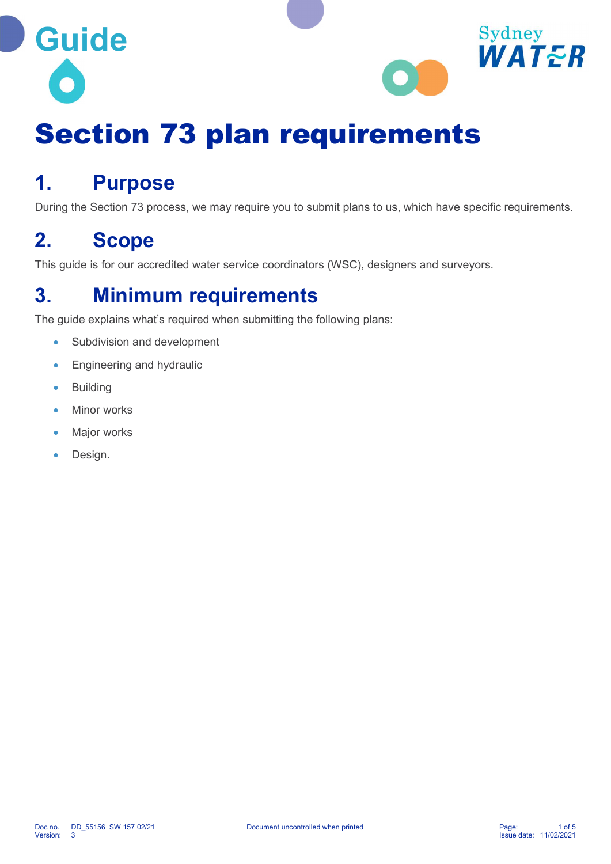



# Section 73 plan requirements

### 1. Purpose

During the Section 73 process, we may require you to submit plans to us, which have specific requirements.

### 2. Scope

This guide is for our accredited water service coordinators (WSC), designers and surveyors.

### 3. Minimum requirements

The guide explains what's required when submitting the following plans:

- Subdivision and development
- **Engineering and hydraulic**
- **•** Building
- Minor works
- Major works
- Design.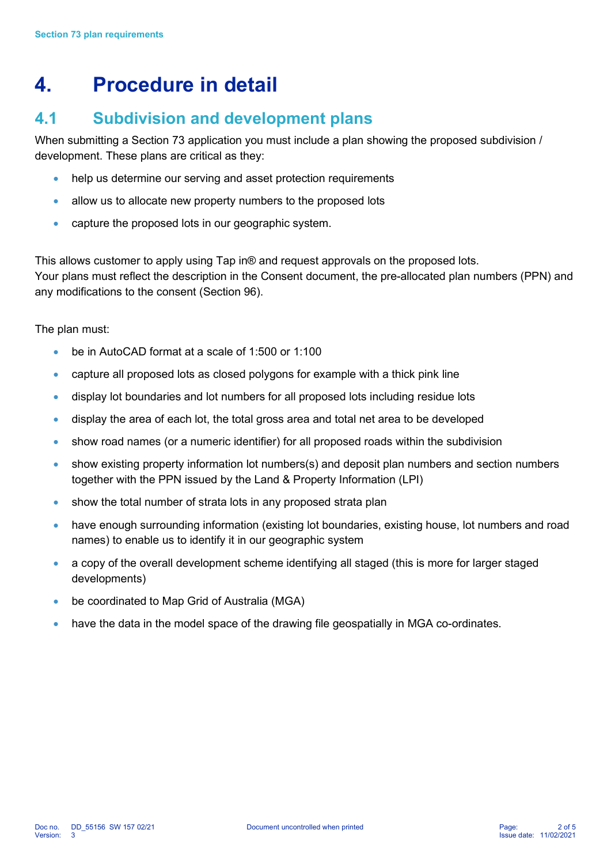## 4. Procedure in detail

### 4.1 Subdivision and development plans

When submitting a Section 73 application you must include a plan showing the proposed subdivision / development. These plans are critical as they:

- help us determine our serving and asset protection requirements
- allow us to allocate new property numbers to the proposed lots
- capture the proposed lots in our geographic system.

This allows customer to apply using Tap in® and request approvals on the proposed lots. Your plans must reflect the description in the Consent document, the pre-allocated plan numbers (PPN) and any modifications to the consent (Section 96).

The plan must:

- be in AutoCAD format at a scale of 1:500 or 1:100
- capture all proposed lots as closed polygons for example with a thick pink line
- display lot boundaries and lot numbers for all proposed lots including residue lots
- display the area of each lot, the total gross area and total net area to be developed
- show road names (or a numeric identifier) for all proposed roads within the subdivision
- show existing property information lot numbers(s) and deposit plan numbers and section numbers together with the PPN issued by the Land & Property Information (LPI)
- show the total number of strata lots in any proposed strata plan
- have enough surrounding information (existing lot boundaries, existing house, lot numbers and road names) to enable us to identify it in our geographic system
- a copy of the overall development scheme identifying all staged (this is more for larger staged developments)
- be coordinated to Map Grid of Australia (MGA)
- have the data in the model space of the drawing file geospatially in MGA co-ordinates.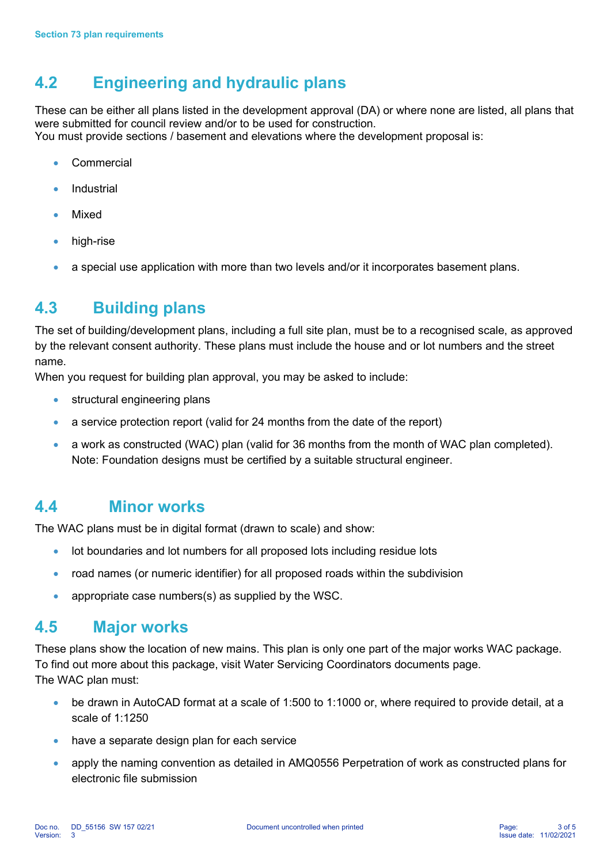### 4.2 Engineering and hydraulic plans

These can be either all plans listed in the development approval (DA) or where none are listed, all plans that were submitted for council review and/or to be used for construction. You must provide sections / basement and elevations where the development proposal is:

- **Commercial**
- **Industrial**
- Mixed
- high-rise
- a special use application with more than two levels and/or it incorporates basement plans.

#### 4.3 Building plans

The set of building/development plans, including a full site plan, must be to a recognised scale, as approved by the relevant consent authority. These plans must include the house and or lot numbers and the street name.

When you request for building plan approval, you may be asked to include:

- structural engineering plans
- a service protection report (valid for 24 months from the date of the report)
- a work as constructed (WAC) plan (valid for 36 months from the month of WAC plan completed). Note: Foundation designs must be certified by a suitable structural engineer.

#### 4.4 Minor works

The WAC plans must be in digital format (drawn to scale) and show:

- lot boundaries and lot numbers for all proposed lots including residue lots
- road names (or numeric identifier) for all proposed roads within the subdivision
- appropriate case numbers(s) as supplied by the WSC.

#### 4.5 Major works

These plans show the location of new mains. This plan is only one part of the major works WAC package. To find out more about this package, visit Water Servicing Coordinators documents page. The WAC plan must:

- be drawn in AutoCAD format at a scale of 1:500 to 1:1000 or, where required to provide detail, at a scale of 1:1250
- have a separate design plan for each service
- apply the naming convention as detailed in AMQ0556 Perpetration of work as constructed plans for electronic file submission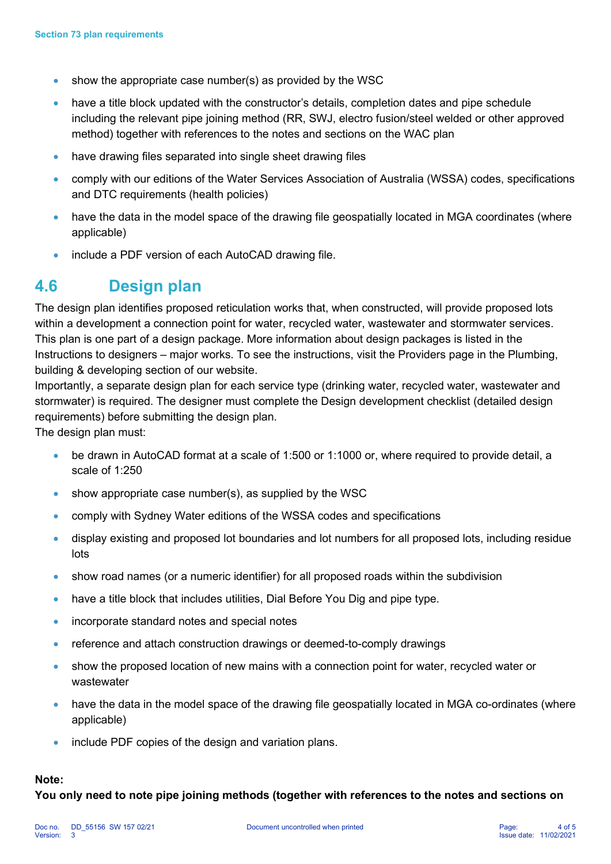- show the appropriate case number(s) as provided by the WSC
- have a title block updated with the constructor's details, completion dates and pipe schedule including the relevant pipe joining method (RR, SWJ, electro fusion/steel welded or other approved method) together with references to the notes and sections on the WAC plan
- have drawing files separated into single sheet drawing files
- comply with our editions of the Water Services Association of Australia (WSSA) codes, specifications and DTC requirements (health policies)
- have the data in the model space of the drawing file geospatially located in MGA coordinates (where applicable)
- include a PDF version of each AutoCAD drawing file.

#### 4.6 Design plan

The design plan identifies proposed reticulation works that, when constructed, will provide proposed lots within a development a connection point for water, recycled water, wastewater and stormwater services. This plan is one part of a design package. More information about design packages is listed in the Instructions to designers – major works. To see the instructions, visit the Providers page in the Plumbing, building & developing section of our website.

Importantly, a separate design plan for each service type (drinking water, recycled water, wastewater and stormwater) is required. The designer must complete the Design development checklist (detailed design requirements) before submitting the design plan.

The design plan must:

- be drawn in AutoCAD format at a scale of 1:500 or 1:1000 or, where required to provide detail, a scale of 1:250
- show appropriate case number(s), as supplied by the WSC
- comply with Sydney Water editions of the WSSA codes and specifications
- display existing and proposed lot boundaries and lot numbers for all proposed lots, including residue lots
- show road names (or a numeric identifier) for all proposed roads within the subdivision
- have a title block that includes utilities, Dial Before You Dig and pipe type.
- incorporate standard notes and special notes
- reference and attach construction drawings or deemed-to-comply drawings
- show the proposed location of new mains with a connection point for water, recycled water or wastewater
- have the data in the model space of the drawing file geospatially located in MGA co-ordinates (where applicable)
- include PDF copies of the design and variation plans.

#### Note:

You only need to note pipe joining methods (together with references to the notes and sections on